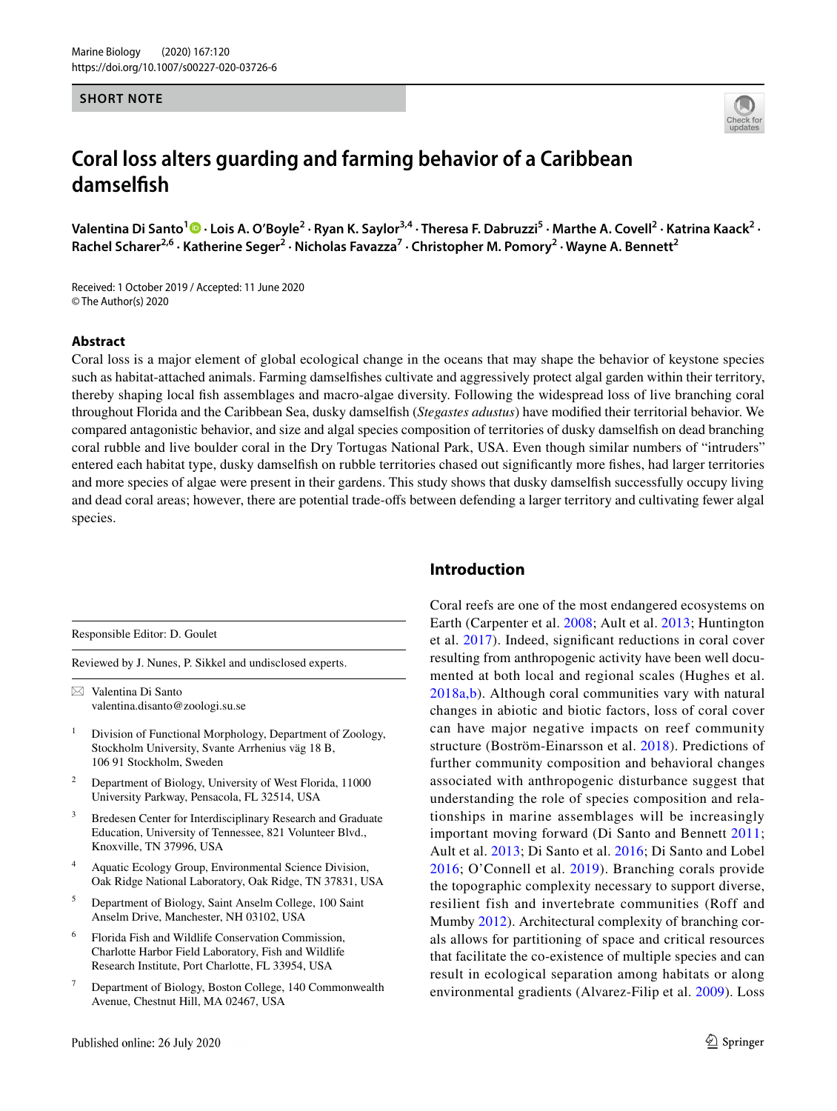#### **SHORT NOTE**

**damselfsh**



ValentinaDi Santo<sup>1</sup> D · Lois A. O'Boyle<sup>2</sup> · Ryan K. Saylor<sup>3,4</sup> · Theresa F. Dabruzzi<sup>5</sup> · Marthe A. Covell<sup>2</sup> · Katrina Kaack<sup>2</sup> · **Rachel Scharer2,6 · Katherine Seger2 · Nicholas Favazza7 · Christopher M. Pomory<sup>2</sup> · Wayne A. Bennett2**

Received: 1 October 2019 / Accepted: 11 June 2020 © The Author(s) 2020

### **Abstract**

Coral loss is a major element of global ecological change in the oceans that may shape the behavior of keystone species such as habitat-attached animals. Farming damselfshes cultivate and aggressively protect algal garden within their territory, thereby shaping local fsh assemblages and macro-algae diversity. Following the widespread loss of live branching coral throughout Florida and the Caribbean Sea, dusky damselfsh (*Stegastes adustus*) have modifed their territorial behavior. We compared antagonistic behavior, and size and algal species composition of territories of dusky damselfsh on dead branching coral rubble and live boulder coral in the Dry Tortugas National Park, USA. Even though similar numbers of "intruders" entered each habitat type, dusky damselfsh on rubble territories chased out signifcantly more fshes, had larger territories and more species of algae were present in their gardens. This study shows that dusky damselfsh successfully occupy living and dead coral areas; however, there are potential trade-ofs between defending a larger territory and cultivating fewer algal species.

Responsible Editor: D. Goulet

Reviewed by J. Nunes, P. Sikkel and undisclosed experts.

 $\boxtimes$  Valentina Di Santo valentina.disanto@zoologi.su.se

- <sup>1</sup> Division of Functional Morphology, Department of Zoology, Stockholm University, Svante Arrhenius väg 18 B, 106 91 Stockholm, Sweden
- <sup>2</sup> Department of Biology, University of West Florida, 11000 University Parkway, Pensacola, FL 32514, USA
- <sup>3</sup> Bredesen Center for Interdisciplinary Research and Graduate Education, University of Tennessee, 821 Volunteer Blvd., Knoxville, TN 37996, USA
- <sup>4</sup> Aquatic Ecology Group, Environmental Science Division, Oak Ridge National Laboratory, Oak Ridge, TN 37831, USA
- <sup>5</sup> Department of Biology, Saint Anselm College, 100 Saint Anselm Drive, Manchester, NH 03102, USA
- <sup>6</sup> Florida Fish and Wildlife Conservation Commission, Charlotte Harbor Field Laboratory, Fish and Wildlife Research Institute, Port Charlotte, FL 33954, USA
- <sup>7</sup> Department of Biology, Boston College, 140 Commonwealth Avenue, Chestnut Hill, MA 02467, USA

## Published online: 26 July 2020

# **Introduction**

Coral reefs are one of the most endangered ecosystems on Earth (Carpenter et al. [2008](#page-6-0); Ault et al. [2013;](#page-6-1) Huntington et al. [2017\)](#page-7-0). Indeed, signifcant reductions in coral cover resulting from anthropogenic activity have been well documented at both local and regional scales (Hughes et al. [2018a,b\)](#page-7-1). Although coral communities vary with natural changes in abiotic and biotic factors, loss of coral cover can have major negative impacts on reef community structure (Boström-Einarsson et al. [2018\)](#page-6-2). Predictions of further community composition and behavioral changes associated with anthropogenic disturbance suggest that understanding the role of species composition and relationships in marine assemblages will be increasingly important moving forward (Di Santo and Bennett [2011](#page-7-2); Ault et al. [2013](#page-6-1); Di Santo et al. [2016](#page-7-3); Di Santo and Lobel [2016](#page-7-4); O'Connell et al. [2019\)](#page-7-5). Branching corals provide the topographic complexity necessary to support diverse, resilient fish and invertebrate communities (Roff and Mumby [2012\)](#page-8-0). Architectural complexity of branching corals allows for partitioning of space and critical resources that facilitate the co-existence of multiple species and can result in ecological separation among habitats or along environmental gradients (Alvarez-Filip et al. [2009\)](#page-6-3). Loss

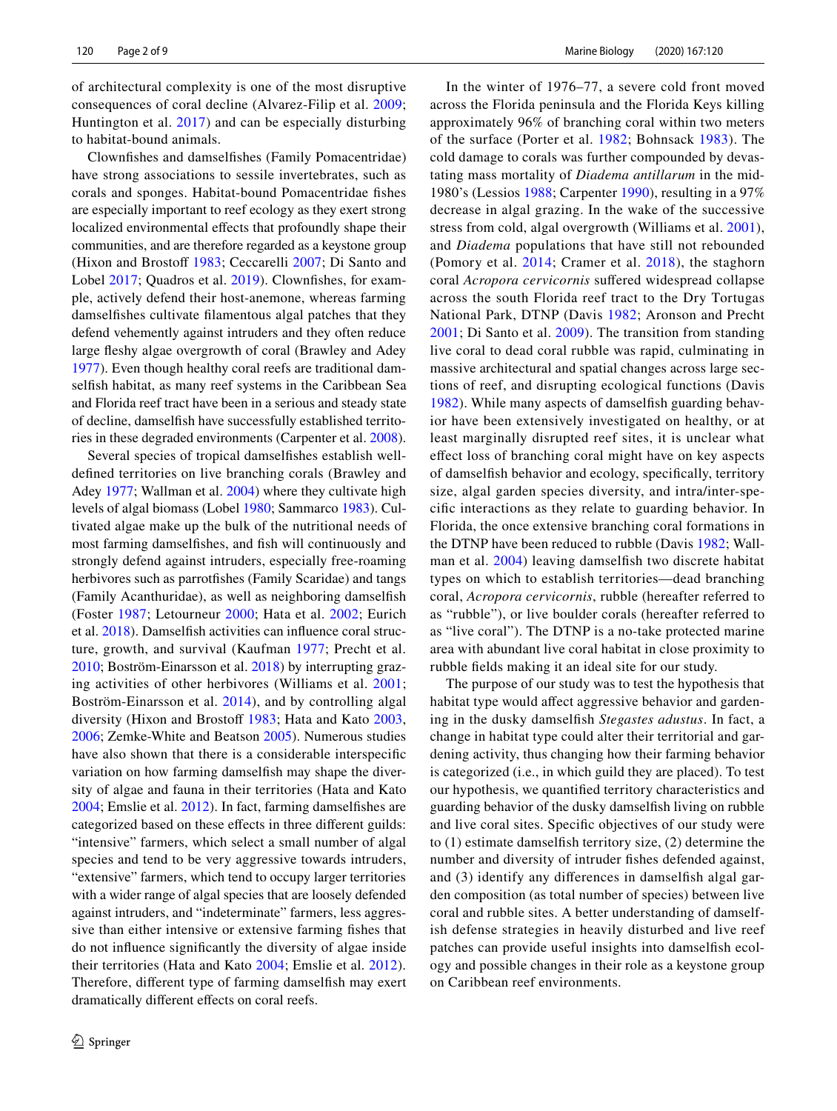of architectural complexity is one of the most disruptive consequences of coral decline (Alvarez-Filip et al. [2009](#page-6-3); Huntington et al. [2017\)](#page-7-0) and can be especially disturbing to habitat-bound animals.

Clownfshes and damselfshes (Family Pomacentridae) have strong associations to sessile invertebrates, such as corals and sponges. Habitat-bound Pomacentridae fshes are especially important to reef ecology as they exert strong localized environmental effects that profoundly shape their communities, and are therefore regarded as a keystone group (Hixon and Brostoff [1983;](#page-7-6) Ceccarelli [2007;](#page-6-4) Di Santo and Lobel [2017](#page-7-7); Quadros et al. [2019\)](#page-8-1). Clownfishes, for example, actively defend their host-anemone, whereas farming damselfshes cultivate flamentous algal patches that they defend vehemently against intruders and they often reduce large feshy algae overgrowth of coral (Brawley and Adey [1977](#page-6-5)). Even though healthy coral reefs are traditional damselfsh habitat, as many reef systems in the Caribbean Sea and Florida reef tract have been in a serious and steady state of decline, damselfsh have successfully established territories in these degraded environments (Carpenter et al. [2008](#page-6-0)).

Several species of tropical damselfshes establish welldefned territories on live branching corals (Brawley and Adey [1977](#page-6-5); Wallman et al. [2004](#page-8-2)) where they cultivate high levels of algal biomass (Lobel [1980;](#page-7-8) Sammarco [1983](#page-8-3)). Cultivated algae make up the bulk of the nutritional needs of most farming damselfshes, and fsh will continuously and strongly defend against intruders, especially free-roaming herbivores such as parrotfshes (Family Scaridae) and tangs (Family Acanthuridae), as well as neighboring damselfsh (Foster [1987;](#page-7-9) Letourneur [2000](#page-7-10); Hata et al. [2002](#page-7-11); Eurich et al. [2018\)](#page-7-12). Damselfsh activities can infuence coral structure, growth, and survival (Kaufman [1977;](#page-7-13) Precht et al. [2010](#page-8-4); Boström-Einarsson et al. [2018](#page-6-2)) by interrupting grazing activities of other herbivores (Williams et al. [2001](#page-8-5); Boström-Einarsson et al. [2014](#page-6-6)), and by controlling algal diversity (Hixon and Brostoff [1983;](#page-7-6) Hata and Kato [2003,](#page-7-14) [2006](#page-7-15); Zemke-White and Beatson [2005\)](#page-8-6). Numerous studies have also shown that there is a considerable interspecifc variation on how farming damselfsh may shape the diversity of algae and fauna in their territories (Hata and Kato [2004](#page-7-16); Emslie et al. [2012](#page-7-17)). In fact, farming damselfshes are categorized based on these efects in three diferent guilds: "intensive" farmers, which select a small number of algal species and tend to be very aggressive towards intruders, "extensive" farmers, which tend to occupy larger territories with a wider range of algal species that are loosely defended against intruders, and "indeterminate" farmers, less aggressive than either intensive or extensive farming fshes that do not infuence signifcantly the diversity of algae inside their territories (Hata and Kato [2004;](#page-7-16) Emslie et al. [2012](#page-7-17)). Therefore, diferent type of farming damselfsh may exert dramatically diferent efects on coral reefs.

In the winter of 1976–77, a severe cold front moved across the Florida peninsula and the Florida Keys killing approximately 96% of branching coral within two meters of the surface (Porter et al. [1982;](#page-8-7) Bohnsack [1983\)](#page-6-7). The cold damage to corals was further compounded by devastating mass mortality of *Diadema antillarum* in the mid-1980's (Lessios [1988](#page-7-18); Carpenter [1990](#page-6-8)), resulting in a 97% decrease in algal grazing. In the wake of the successive stress from cold, algal overgrowth (Williams et al. [2001](#page-8-5)), and *Diadema* populations that have still not rebounded (Pomory et al. [2014](#page-7-19); Cramer et al. [2018](#page-6-9)), the staghorn coral *Acropora cervicornis* sufered widespread collapse across the south Florida reef tract to the Dry Tortugas National Park, DTNP (Davis [1982](#page-6-10); Aronson and Precht [2001;](#page-6-11) Di Santo et al. [2009](#page-7-20)). The transition from standing live coral to dead coral rubble was rapid, culminating in massive architectural and spatial changes across large sections of reef, and disrupting ecological functions (Davis [1982\)](#page-6-10). While many aspects of damselfsh guarding behavior have been extensively investigated on healthy, or at least marginally disrupted reef sites, it is unclear what efect loss of branching coral might have on key aspects of damselfsh behavior and ecology, specifcally, territory size, algal garden species diversity, and intra/inter-specifc interactions as they relate to guarding behavior. In Florida, the once extensive branching coral formations in the DTNP have been reduced to rubble (Davis [1982](#page-6-10); Wallman et al. [2004](#page-8-2)) leaving damselfsh two discrete habitat types on which to establish territories—dead branching coral, *Acropora cervicornis*, rubble (hereafter referred to as "rubble"), or live boulder corals (hereafter referred to as "live coral"). The DTNP is a no-take protected marine area with abundant live coral habitat in close proximity to rubble felds making it an ideal site for our study.

The purpose of our study was to test the hypothesis that habitat type would affect aggressive behavior and gardening in the dusky damselfsh *Stegastes adustus*. In fact, a change in habitat type could alter their territorial and gardening activity, thus changing how their farming behavior is categorized (i.e., in which guild they are placed). To test our hypothesis, we quantifed territory characteristics and guarding behavior of the dusky damselfsh living on rubble and live coral sites. Specifc objectives of our study were to (1) estimate damselfsh territory size, (2) determine the number and diversity of intruder fshes defended against, and (3) identify any diferences in damselfsh algal garden composition (as total number of species) between live coral and rubble sites. A better understanding of damselfish defense strategies in heavily disturbed and live reef patches can provide useful insights into damselfsh ecology and possible changes in their role as a keystone group on Caribbean reef environments.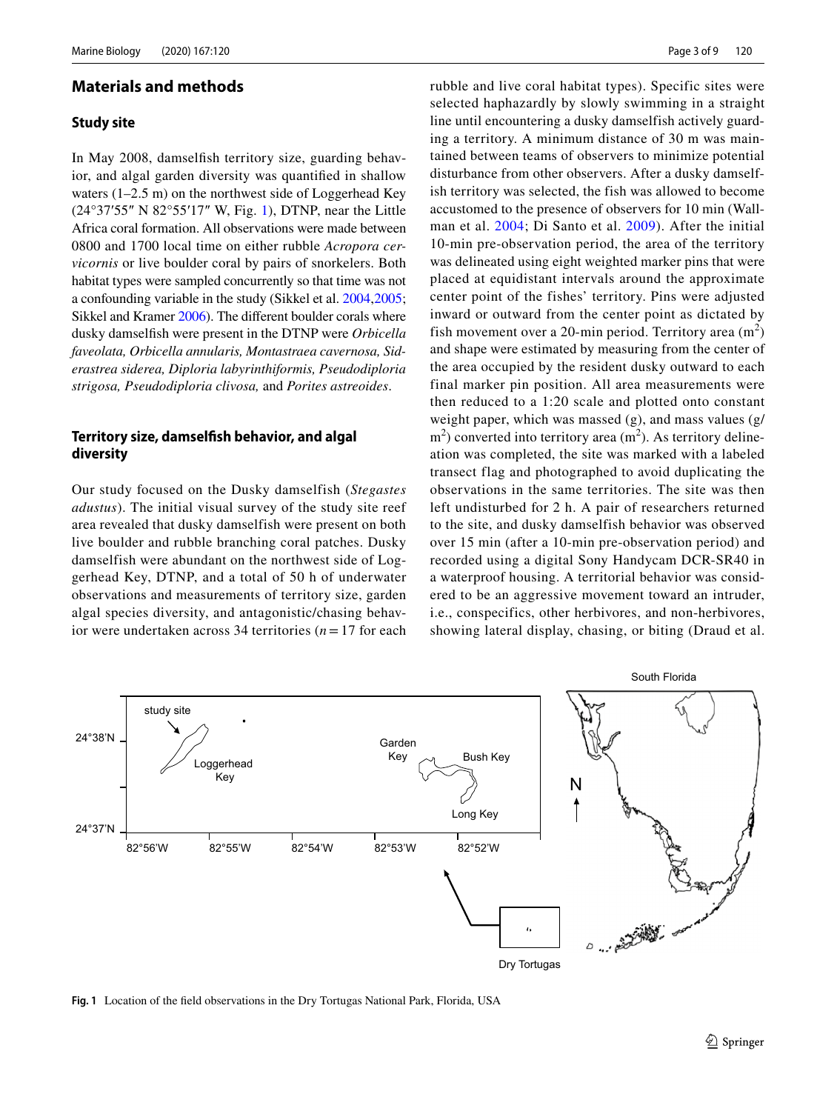### **Materials and methods**

#### **Study site**

In May 2008, damselfsh territory size, guarding behavior, and algal garden diversity was quantifed in shallow waters (1–2.5 m) on the northwest side of Loggerhead Key (24°37′55″ N 82°55′17″ W, Fig. [1\)](#page-2-0), DTNP, near the Little Africa coral formation. All observations were made between 0800 and 1700 local time on either rubble *Acropora cervicornis* or live boulder coral by pairs of snorkelers. Both habitat types were sampled concurrently so that time was not a confounding variable in the study (Sikkel et al. [2004](#page-8-8)[,2005](#page-8-9); Sikkel and Kramer [2006\)](#page-8-10). The diferent boulder corals where dusky damselfsh were present in the DTNP were *Orbicella faveolata, Orbicella annularis, Montastraea cavernosa, Siderastrea siderea, Diploria labyrinthiformis, Pseudodiploria strigosa, Pseudodiploria clivosa,* and *Porites astreoides*.

# **Territory size, damselfsh behavior, and algal diversity**

Our study focused on the Dusky damselfish (*Stegastes adustus*). The initial visual survey of the study site reef area revealed that dusky damselfish were present on both live boulder and rubble branching coral patches. Dusky damselfish were abundant on the northwest side of Loggerhead Key, DTNP, and a total of 50 h of underwater observations and measurements of territory size, garden algal species diversity, and antagonistic/chasing behavior were undertaken across 34 territories (*n*= 17 for each rubble and live coral habitat types). Specific sites were selected haphazardly by slowly swimming in a straight line until encountering a dusky damselfish actively guarding a territory. A minimum distance of 30 m was maintained between teams of observers to minimize potential disturbance from other observers. After a dusky damselfish territory was selected, the fish was allowed to become accustomed to the presence of observers for 10 min (Wallman et al. [2004](#page-8-2); Di Santo et al. [2009\)](#page-7-20). After the initial 10-min pre-observation period, the area of the territory was delineated using eight weighted marker pins that were placed at equidistant intervals around the approximate center point of the fishes' territory. Pins were adjusted inward or outward from the center point as dictated by fish movement over a 20-min period. Territory area  $(m<sup>2</sup>)$ and shape were estimated by measuring from the center of the area occupied by the resident dusky outward to each final marker pin position. All area measurements were then reduced to a 1:20 scale and plotted onto constant weight paper, which was massed (g), and mass values (g/  $m<sup>2</sup>$ ) converted into territory area (m<sup>2</sup>). As territory delineation was completed, the site was marked with a labeled transect flag and photographed to avoid duplicating the observations in the same territories. The site was then left undisturbed for 2 h. A pair of researchers returned to the site, and dusky damselfish behavior was observed over 15 min (after a 10-min pre-observation period) and recorded using a digital Sony Handycam DCR-SR40 in a waterproof housing. A territorial behavior was considered to be an aggressive movement toward an intruder, i.e., conspecifics, other herbivores, and non-herbivores, showing lateral display, chasing, or biting (Draud et al.



<span id="page-2-0"></span>**Fig. 1** Location of the feld observations in the Dry Tortugas National Park, Florida, USA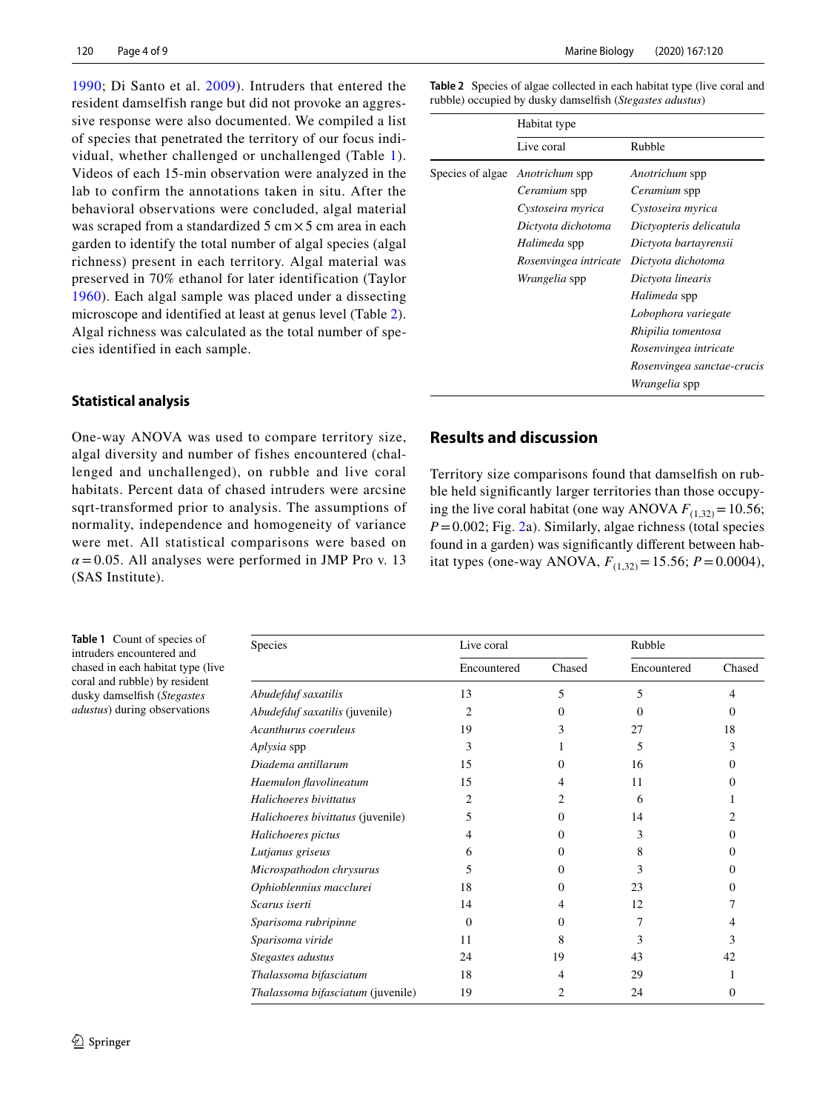[1990;](#page-7-21) Di Santo et al. [2009\)](#page-7-20). Intruders that entered the resident damselfish range but did not provoke an aggressive response were also documented. We compiled a list of species that penetrated the territory of our focus individual, whether challenged or unchallenged (Table [1\)](#page-3-0). Videos of each 15-min observation were analyzed in the lab to confirm the annotations taken in situ. After the behavioral observations were concluded, algal material was scraped from a standardized  $5 \text{ cm} \times 5 \text{ cm}$  area in each garden to identify the total number of algal species (algal richness) present in each territory. Algal material was preserved in 70% ethanol for later identification (Taylor [1960](#page-8-11)). Each algal sample was placed under a dissecting microscope and identified at least at genus level (Table [2](#page-3-1)). Algal richness was calculated as the total number of species identified in each sample.

# **Statistical analysis**

One-way ANOVA was used to compare territory size, algal diversity and number of fishes encountered (challenged and unchallenged), on rubble and live coral habitats. Percent data of chased intruders were arcsine sqrt-transformed prior to analysis. The assumptions of normality, independence and homogeneity of variance were met. All statistical comparisons were based on  $\alpha$  = 0.05. All analyses were performed in JMP Pro v. 13 (SAS Institute).

Marine Biology (2020) 167:120

<span id="page-3-1"></span>**Table 2** Species of algae collected in each habitat type (live coral and rubble) occupied by dusky damselfsh (*Stegastes adustus*)

|                  | Habitat type          |                            |  |
|------------------|-----------------------|----------------------------|--|
|                  | Live coral            | Rubble                     |  |
| Species of algae | Anotrichum spp        | Anotrichum spp             |  |
|                  | Ceramium spp          | <i>Ceramium</i> spp        |  |
|                  | Cystoseira myrica     | Cystoseira myrica          |  |
|                  | Dictyota dichotoma    | Dictyopteris delicatula    |  |
|                  | Halimeda spp          | Dictyota bartayrensii      |  |
|                  | Rosenvingea intricate | Dictyota dichotoma         |  |
|                  | <i>Wrangelia</i> spp  | Dictyota linearis          |  |
|                  |                       | Halimeda spp               |  |
|                  |                       | Lobophora variegate        |  |
|                  |                       | Rhipilia tomentosa         |  |
|                  |                       | Rosenvingea intricate      |  |
|                  |                       | Rosenvingea sanctae-crucis |  |
|                  |                       | <i>Wrangelia</i> spp       |  |

# **Results and discussion**

Territory size comparisons found that damselfsh on rubble held signifcantly larger territories than those occupying the live coral habitat (one way ANOVA  $F_{(1,32)} = 10.56$ ; *P*=0.002; Fig. [2](#page-4-0)a). Similarly, algae richness (total species found in a garden) was signifcantly diferent between habitat types (one-way ANOVA,  $F_{(1,32)} = 15.56$ ;  $P = 0.0004$ ),

<span id="page-3-0"></span>**Table 1** Count of species of intruders encountered and chased in each habitat type (live coral and rubble) by resident dusky damselfsh (*Stegastes adustus*) during observations

| Species                           | Live coral  |          | Rubble      |          |
|-----------------------------------|-------------|----------|-------------|----------|
|                                   | Encountered | Chased   | Encountered | Chased   |
| Abudefduf saxatilis               | 13          | 5        | 5           | 4        |
| Abudefduf saxatilis (juvenile)    | 2           | $\theta$ | $\Omega$    | $\Omega$ |
| Acanthurus coeruleus              | 19          | 3        | 27          | 18       |
| Aplysia spp                       | 3           |          | 5           | 3        |
| Diadema antillarum                | 15          | 0        | 16          | $\Omega$ |
| Haemulon flavolineatum            | 15          | 4        | 11          | 0        |
| Halichoeres bivittatus            | 2           | 2        | 6           |          |
| Halichoeres bivittatus (juvenile) | 5           | $\Omega$ | 14          | 2        |
| Halichoeres pictus                | 4           | 0        | 3           | 0        |
| Lutjanus griseus                  | 6           | 0        | 8           | 0        |
| Microspathodon chrysurus          | 5           | 0        | 3           | 0        |
| Ophioblennius macclurei           | 18          | 0        | 23          | 0        |
| Scarus iserti                     | 14          | 4        | 12          |          |
| Sparisoma rubripinne              | $\Omega$    | $^{(1)}$ | 7           |          |
| Sparisoma viride                  | 11          | 8        | 3           | 3        |
| Stegastes adustus                 | 24          | 19       | 43          | 42       |
| Thalassoma bifasciatum            | 18          | 4        | 29          |          |
| Thalassoma bifasciatum (juvenile) | 19          |          | 24          | $\Omega$ |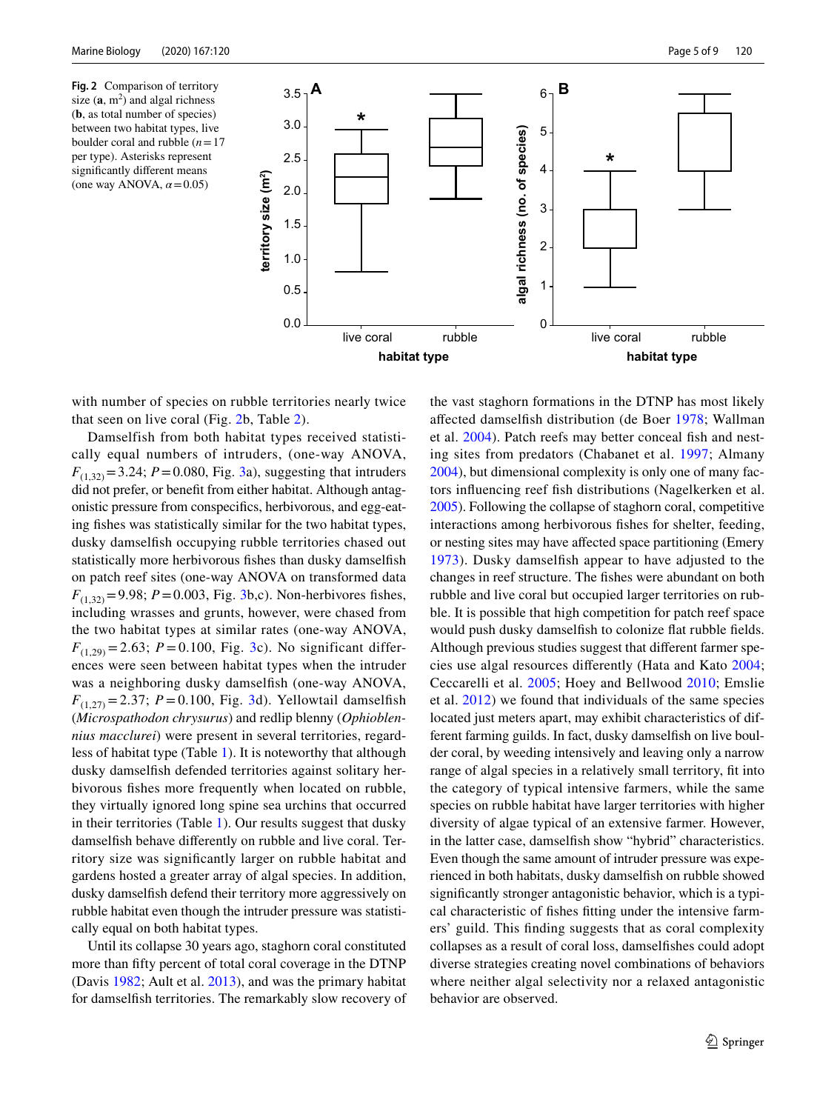<span id="page-4-0"></span>**Fig. 2** Comparison of territory size  $(a, m^2)$  and algal richness (**b**, as total number of species) between two habitat types, live boulder coral and rubble (*n*=17 per type). Asterisks represent signifcantly diferent means (one way ANOVA, *α*=0.05)



with number of species on rubble territories nearly twice that seen on live coral (Fig. [2b](#page-4-0), Table [2](#page-3-1)).

Damselfish from both habitat types received statistically equal numbers of intruders, (one-way ANOVA,  $F_{(1,32)} = 3.24$  $F_{(1,32)} = 3.24$  $F_{(1,32)} = 3.24$ ; *P* = 0.080, Fig. 3a), suggesting that intruders did not prefer, or beneft from either habitat. Although antagonistic pressure from conspecifcs, herbivorous, and egg-eating fishes was statistically similar for the two habitat types, dusky damselfsh occupying rubble territories chased out statistically more herbivorous fshes than dusky damselfsh on patch reef sites (one-way ANOVA on transformed data  $F_{(1,32)} = 9.98$ ; *P* = 0.003, Fig. [3b](#page-5-0),c). Non-herbivores fishes, including wrasses and grunts, however, were chased from the two habitat types at similar rates (one-way ANOVA,  $F_{(1,29)} = 2.63$ ; *P* = 0.100, Fig. [3c](#page-5-0)). No significant differences were seen between habitat types when the intruder was a neighboring dusky damselfsh (one-way ANOVA,  $F_{(1,27)} = 2.37$  $F_{(1,27)} = 2.37$  $F_{(1,27)} = 2.37$ ; *P* = 0.100, Fig. 3d). Yellowtail damselfish (*Microspathodon chrysurus*) and redlip blenny (*Ophioblennius macclurei*) were present in several territories, regardless of habitat type (Table [1](#page-3-0)). It is noteworthy that although dusky damselfsh defended territories against solitary herbivorous fshes more frequently when located on rubble, they virtually ignored long spine sea urchins that occurred in their territories (Table [1\)](#page-3-0). Our results suggest that dusky damselfsh behave diferently on rubble and live coral. Territory size was signifcantly larger on rubble habitat and gardens hosted a greater array of algal species. In addition, dusky damselfsh defend their territory more aggressively on rubble habitat even though the intruder pressure was statistically equal on both habitat types.

Until its collapse 30 years ago, staghorn coral constituted more than ffty percent of total coral coverage in the DTNP (Davis [1982](#page-6-10); Ault et al. [2013](#page-6-1)), and was the primary habitat for damselfsh territories. The remarkably slow recovery of the vast staghorn formations in the DTNP has most likely afected damselfsh distribution (de Boer [1978](#page-7-22); Wallman et al. [2004](#page-8-2)). Patch reefs may better conceal fsh and nesting sites from predators (Chabanet et al. [1997;](#page-6-12) Almany [2004](#page-6-13)), but dimensional complexity is only one of many factors infuencing reef fsh distributions (Nagelkerken et al. [2005](#page-7-23)). Following the collapse of staghorn coral, competitive interactions among herbivorous fshes for shelter, feeding, or nesting sites may have afected space partitioning (Emery [1973](#page-7-24)). Dusky damselfsh appear to have adjusted to the changes in reef structure. The fshes were abundant on both rubble and live coral but occupied larger territories on rubble. It is possible that high competition for patch reef space would push dusky damselfsh to colonize fat rubble felds. Although previous studies suggest that diferent farmer species use algal resources diferently (Hata and Kato [2004](#page-7-16); Ceccarelli et al. [2005](#page-6-14); Hoey and Bellwood [2010;](#page-7-25) Emslie et al. [2012\)](#page-7-17) we found that individuals of the same species located just meters apart, may exhibit characteristics of different farming guilds. In fact, dusky damselfsh on live boulder coral, by weeding intensively and leaving only a narrow range of algal species in a relatively small territory, ft into the category of typical intensive farmers, while the same species on rubble habitat have larger territories with higher diversity of algae typical of an extensive farmer. However, in the latter case, damselfsh show "hybrid" characteristics. Even though the same amount of intruder pressure was experienced in both habitats, dusky damselfsh on rubble showed signifcantly stronger antagonistic behavior, which is a typical characteristic of fshes ftting under the intensive farmers' guild. This fnding suggests that as coral complexity collapses as a result of coral loss, damselfshes could adopt diverse strategies creating novel combinations of behaviors where neither algal selectivity nor a relaxed antagonistic behavior are observed.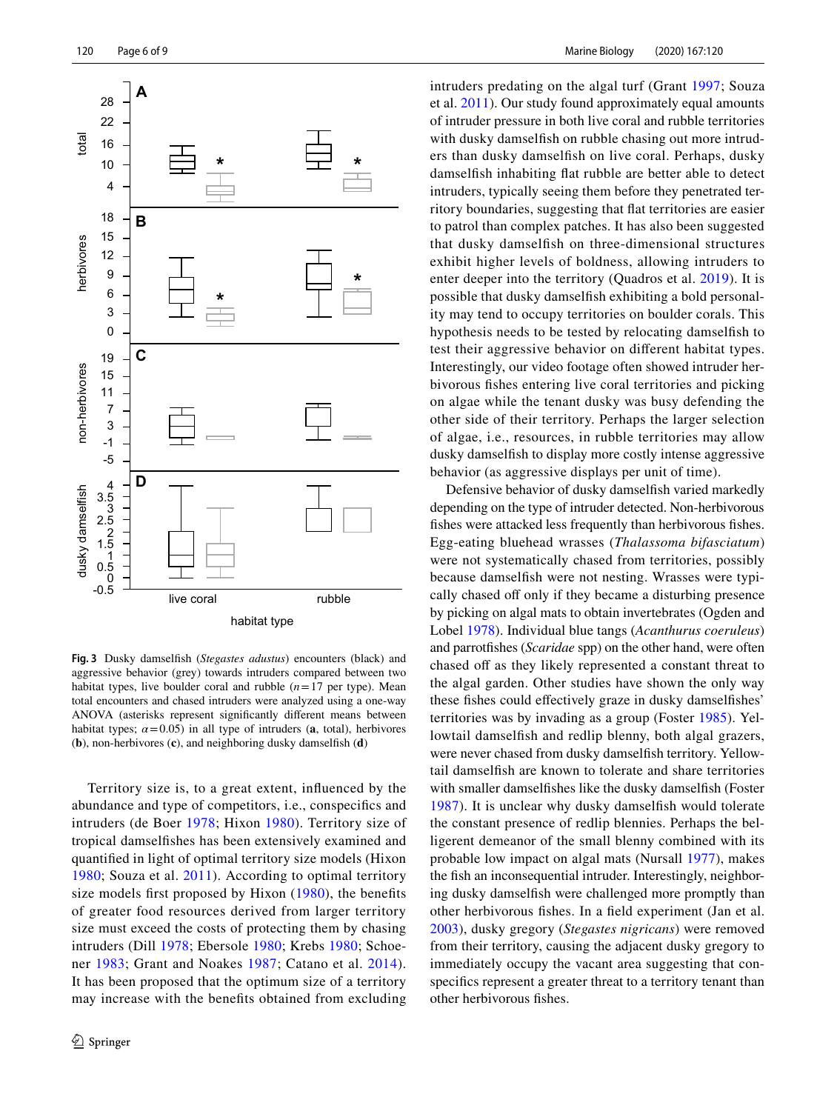

<span id="page-5-0"></span>**Fig. 3** Dusky damselfsh (*Stegastes adustus*) encounters (black) and aggressive behavior (grey) towards intruders compared between two habitat types, live boulder coral and rubble  $(n=17$  per type). Mean total encounters and chased intruders were analyzed using a one-way ANOVA (asterisks represent signifcantly diferent means between habitat types;  $\alpha$ =0.05) in all type of intruders (**a**, total), herbivores (**b**), non-herbivores (**c**), and neighboring dusky damselfsh (**d**)

Territory size is, to a great extent, infuenced by the abundance and type of competitors, i.e., conspecifcs and intruders (de Boer [1978](#page-7-22); Hixon [1980\)](#page-7-26). Territory size of tropical damselfshes has been extensively examined and quantifed in light of optimal territory size models (Hixon [1980;](#page-7-26) Souza et al. [2011](#page-8-12)). According to optimal territory size models frst proposed by Hixon [\(1980](#page-7-26)), the benefts of greater food resources derived from larger territory size must exceed the costs of protecting them by chasing intruders (Dill [1978;](#page-7-27) Ebersole [1980;](#page-7-28) Krebs [1980;](#page-7-29) Schoener [1983](#page-8-13); Grant and Noakes [1987](#page-7-30); Catano et al. [2014](#page-6-15)). It has been proposed that the optimum size of a territory may increase with the benefts obtained from excluding intruders predating on the algal turf (Grant [1997](#page-7-31); Souza et al. [2011](#page-8-12)). Our study found approximately equal amounts of intruder pressure in both live coral and rubble territories with dusky damselfish on rubble chasing out more intruders than dusky damselfsh on live coral. Perhaps, dusky damselfsh inhabiting fat rubble are better able to detect intruders, typically seeing them before they penetrated territory boundaries, suggesting that fat territories are easier to patrol than complex patches. It has also been suggested that dusky damselfsh on three-dimensional structures exhibit higher levels of boldness, allowing intruders to enter deeper into the territory (Quadros et al. [2019](#page-8-1)). It is possible that dusky damselfsh exhibiting a bold personality may tend to occupy territories on boulder corals. This hypothesis needs to be tested by relocating damselfsh to test their aggressive behavior on diferent habitat types. Interestingly, our video footage often showed intruder herbivorous fshes entering live coral territories and picking on algae while the tenant dusky was busy defending the other side of their territory. Perhaps the larger selection of algae, i.e., resources, in rubble territories may allow dusky damselfsh to display more costly intense aggressive behavior (as aggressive displays per unit of time).

Defensive behavior of dusky damselfsh varied markedly depending on the type of intruder detected. Non-herbivorous fshes were attacked less frequently than herbivorous fshes. Egg-eating bluehead wrasses (*Thalassoma bifasciatum*) were not systematically chased from territories, possibly because damselfsh were not nesting. Wrasses were typically chased off only if they became a disturbing presence by picking on algal mats to obtain invertebrates (Ogden and Lobel [1978](#page-7-32)). Individual blue tangs (*Acanthurus coeruleus*) and parrotfshes (*Scaridae* spp) on the other hand, were often chased off as they likely represented a constant threat to the algal garden. Other studies have shown the only way these fshes could efectively graze in dusky damselfshes' territories was by invading as a group (Foster [1985\)](#page-7-33). Yellowtail damselfsh and redlip blenny, both algal grazers, were never chased from dusky damselfsh territory. Yellowtail damselfsh are known to tolerate and share territories with smaller damselfshes like the dusky damselfsh (Foster [1987\)](#page-7-9). It is unclear why dusky damselfsh would tolerate the constant presence of redlip blennies. Perhaps the belligerent demeanor of the small blenny combined with its probable low impact on algal mats (Nursall [1977](#page-7-34)), makes the fsh an inconsequential intruder. Interestingly, neighboring dusky damselfsh were challenged more promptly than other herbivorous fshes. In a feld experiment (Jan et al. [2003\)](#page-7-35), dusky gregory (*Stegastes nigricans*) were removed from their territory, causing the adjacent dusky gregory to immediately occupy the vacant area suggesting that conspecifics represent a greater threat to a territory tenant than other herbivorous fshes.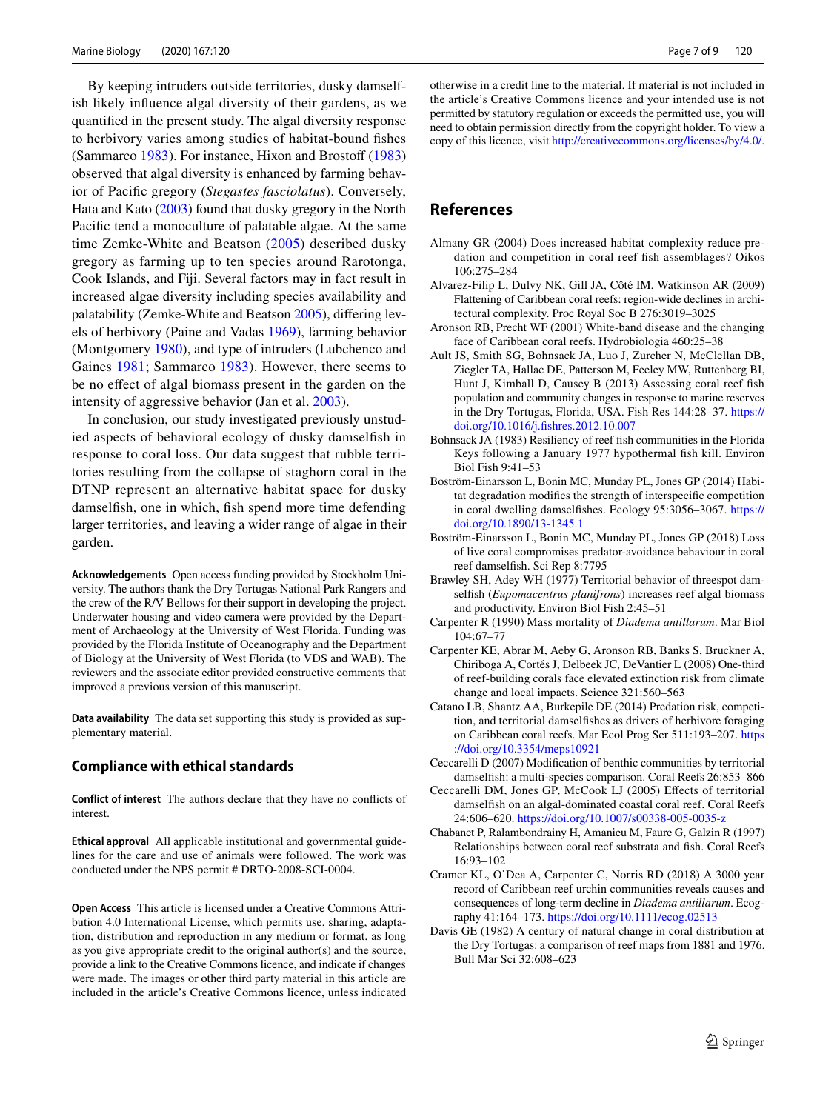By keeping intruders outside territories, dusky damselfish likely infuence algal diversity of their gardens, as we quantifed in the present study. The algal diversity response to herbivory varies among studies of habitat-bound fshes (Sammarco [1983](#page-8-3)). For instance, Hixon and Brostoff ([1983\)](#page-7-6) observed that algal diversity is enhanced by farming behavior of Pacifc gregory (*Stegastes fasciolatus*). Conversely, Hata and Kato ([2003\)](#page-7-14) found that dusky gregory in the North Pacifc tend a monoculture of palatable algae. At the same time Zemke-White and Beatson ([2005\)](#page-8-6) described dusky gregory as farming up to ten species around Rarotonga, Cook Islands, and Fiji. Several factors may in fact result in increased algae diversity including species availability and palatability (Zemke-White and Beatson [2005](#page-8-6)), difering levels of herbivory (Paine and Vadas [1969\)](#page-7-36), farming behavior (Montgomery [1980\)](#page-7-37), and type of intruders (Lubchenco and Gaines [1981](#page-7-38); Sammarco [1983](#page-8-3)). However, there seems to be no efect of algal biomass present in the garden on the intensity of aggressive behavior (Jan et al. [2003\)](#page-7-35).

In conclusion, our study investigated previously unstudied aspects of behavioral ecology of dusky damselfsh in response to coral loss. Our data suggest that rubble territories resulting from the collapse of staghorn coral in the DTNP represent an alternative habitat space for dusky damselfish, one in which, fish spend more time defending larger territories, and leaving a wider range of algae in their garden.

**Acknowledgements** Open access funding provided by Stockholm University. The authors thank the Dry Tortugas National Park Rangers and the crew of the R/V Bellows for their support in developing the project. Underwater housing and video camera were provided by the Department of Archaeology at the University of West Florida. Funding was provided by the Florida Institute of Oceanography and the Department of Biology at the University of West Florida (to VDS and WAB). The reviewers and the associate editor provided constructive comments that improved a previous version of this manuscript.

**Data availability** The data set supporting this study is provided as supplementary material.

#### **Compliance with ethical standards**

**Conflict of interest** The authors declare that they have no conficts of interest.

**Ethical approval** All applicable institutional and governmental guidelines for the care and use of animals were followed. The work was conducted under the NPS permit # DRTO-2008-SCI-0004.

**Open Access** This article is licensed under a Creative Commons Attribution 4.0 International License, which permits use, sharing, adaptation, distribution and reproduction in any medium or format, as long as you give appropriate credit to the original author(s) and the source, provide a link to the Creative Commons licence, and indicate if changes were made. The images or other third party material in this article are included in the article's Creative Commons licence, unless indicated otherwise in a credit line to the material. If material is not included in the article's Creative Commons licence and your intended use is not permitted by statutory regulation or exceeds the permitted use, you will need to obtain permission directly from the copyright holder. To view a copy of this licence, visit<http://creativecommons.org/licenses/by/4.0/>.

### **References**

- <span id="page-6-13"></span>Almany GR (2004) Does increased habitat complexity reduce predation and competition in coral reef fsh assemblages? Oikos 106:275–284
- <span id="page-6-3"></span>Alvarez-Filip L, Dulvy NK, Gill JA, Côté IM, Watkinson AR (2009) Flattening of Caribbean coral reefs: region-wide declines in architectural complexity. Proc Royal Soc B 276:3019–3025
- <span id="page-6-11"></span>Aronson RB, Precht WF (2001) White-band disease and the changing face of Caribbean coral reefs. Hydrobiologia 460:25–38
- <span id="page-6-1"></span>Ault JS, Smith SG, Bohnsack JA, Luo J, Zurcher N, McClellan DB, Ziegler TA, Hallac DE, Patterson M, Feeley MW, Ruttenberg BI, Hunt J, Kimball D, Causey B (2013) Assessing coral reef fsh population and community changes in response to marine reserves in the Dry Tortugas, Florida, USA. Fish Res 144:28–37. [https://](https://doi.org/10.1016/j.fishres.2012.10.007) [doi.org/10.1016/j.fshres.2012.10.007](https://doi.org/10.1016/j.fishres.2012.10.007)
- <span id="page-6-7"></span>Bohnsack JA (1983) Resiliency of reef fsh communities in the Florida Keys following a January 1977 hypothermal fsh kill. Environ Biol Fish 9:41–53
- <span id="page-6-6"></span>Boström-Einarsson L, Bonin MC, Munday PL, Jones GP (2014) Habitat degradation modifes the strength of interspecifc competition in coral dwelling damselfshes. Ecology 95:3056–3067. [https://](https://doi.org/10.1890/13-1345.1) [doi.org/10.1890/13-1345.1](https://doi.org/10.1890/13-1345.1)
- <span id="page-6-2"></span>Boström-Einarsson L, Bonin MC, Munday PL, Jones GP (2018) Loss of live coral compromises predator-avoidance behaviour in coral reef damselfsh. Sci Rep 8:7795
- <span id="page-6-5"></span>Brawley SH, Adey WH (1977) Territorial behavior of threespot damselfsh (*Eupomacentrus planifrons*) increases reef algal biomass and productivity. Environ Biol Fish 2:45–51
- <span id="page-6-8"></span>Carpenter R (1990) Mass mortality of *Diadema antillarum*. Mar Biol 104:67–77
- <span id="page-6-0"></span>Carpenter KE, Abrar M, Aeby G, Aronson RB, Banks S, Bruckner A, Chiriboga A, Cortés J, Delbeek JC, DeVantier L (2008) One-third of reef-building corals face elevated extinction risk from climate change and local impacts. Science 321:560–563
- <span id="page-6-15"></span>Catano LB, Shantz AA, Burkepile DE (2014) Predation risk, competition, and territorial damselfshes as drivers of herbivore foraging on Caribbean coral reefs. Mar Ecol Prog Ser 511:193–207. [https](https://doi.org/10.3354/meps10921) [://doi.org/10.3354/meps10921](https://doi.org/10.3354/meps10921)
- <span id="page-6-4"></span>Ceccarelli D (2007) Modifcation of benthic communities by territorial damselfsh: a multi-species comparison. Coral Reefs 26:853–866
- <span id="page-6-14"></span>Ceccarelli DM, Jones GP, McCook LJ (2005) Efects of territorial damselfish on an algal-dominated coastal coral reef. Coral Reefs 24:606–620.<https://doi.org/10.1007/s00338-005-0035-z>
- <span id="page-6-12"></span>Chabanet P, Ralambondrainy H, Amanieu M, Faure G, Galzin R (1997) Relationships between coral reef substrata and fsh. Coral Reefs 16:93–102
- <span id="page-6-9"></span>Cramer KL, O'Dea A, Carpenter C, Norris RD (2018) A 3000 year record of Caribbean reef urchin communities reveals causes and consequences of long-term decline in *Diadema antillarum*. Ecography 41:164–173. <https://doi.org/10.1111/ecog.02513>
- <span id="page-6-10"></span>Davis GE (1982) A century of natural change in coral distribution at the Dry Tortugas: a comparison of reef maps from 1881 and 1976. Bull Mar Sci 32:608–623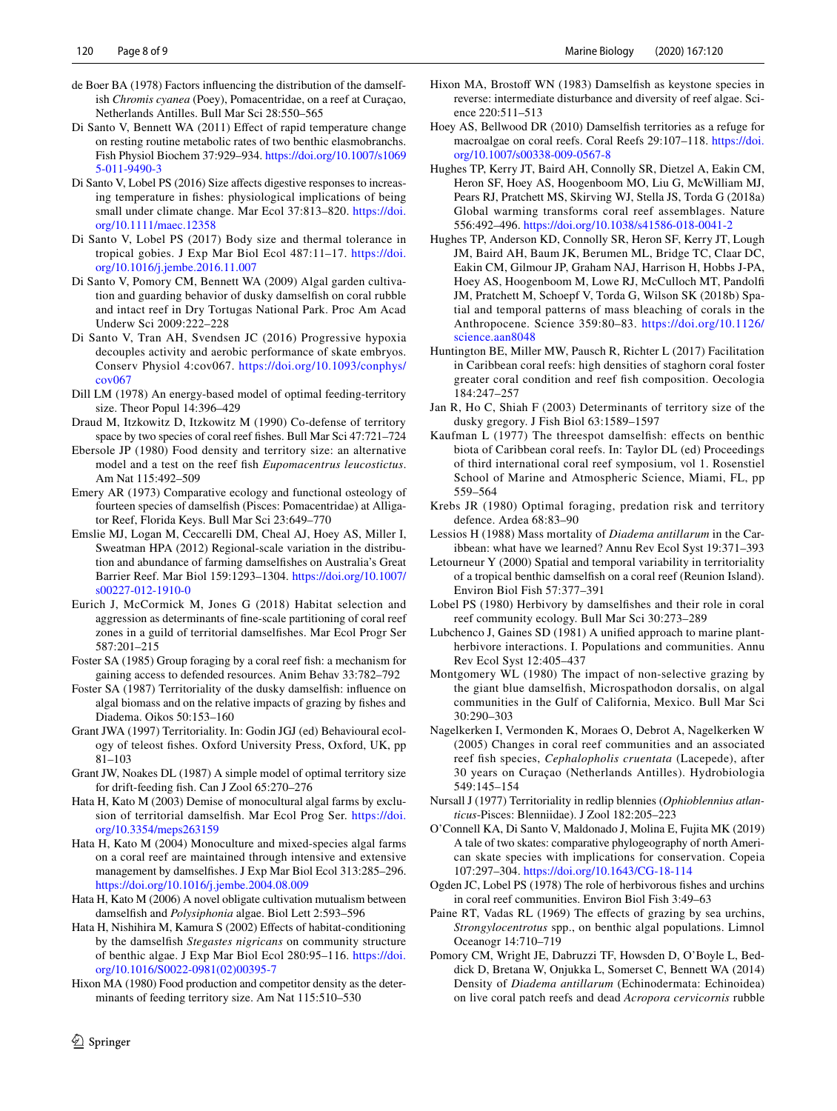- <span id="page-7-22"></span>de Boer BA (1978) Factors infuencing the distribution of the damselfish *Chromis cyanea* (Poey), Pomacentridae, on a reef at Curaçao, Netherlands Antilles. Bull Mar Sci 28:550–565
- <span id="page-7-2"></span>Di Santo V, Bennett WA (2011) Effect of rapid temperature change on resting routine metabolic rates of two benthic elasmobranchs. Fish Physiol Biochem 37:929–934. [https://doi.org/10.1007/s1069](https://doi.org/10.1007/s10695-011-9490-3) [5-011-9490-3](https://doi.org/10.1007/s10695-011-9490-3)
- <span id="page-7-4"></span>Di Santo V, Lobel PS (2016) Size affects digestive responses to increasing temperature in fshes: physiological implications of being small under climate change. Mar Ecol 37:813–820. [https://doi.](https://doi.org/10.1111/maec.12358) [org/10.1111/maec.12358](https://doi.org/10.1111/maec.12358)
- <span id="page-7-7"></span>Di Santo V, Lobel PS (2017) Body size and thermal tolerance in tropical gobies. J Exp Mar Biol Ecol 487:11–17. [https://doi.](https://doi.org/10.1016/j.jembe.2016.11.007) [org/10.1016/j.jembe.2016.11.007](https://doi.org/10.1016/j.jembe.2016.11.007)
- <span id="page-7-20"></span>Di Santo V, Pomory CM, Bennett WA (2009) Algal garden cultivation and guarding behavior of dusky damselfsh on coral rubble and intact reef in Dry Tortugas National Park. Proc Am Acad Underw Sci 2009:222–228
- <span id="page-7-3"></span>Di Santo V, Tran AH, Svendsen JC (2016) Progressive hypoxia decouples activity and aerobic performance of skate embryos. Conserv Physiol 4:cov067. [https://doi.org/10.1093/conphys/](https://doi.org/10.1093/conphys/cov067) [cov067](https://doi.org/10.1093/conphys/cov067)
- <span id="page-7-27"></span>Dill LM (1978) An energy-based model of optimal feeding-territory size. Theor Popul 14:396–429
- <span id="page-7-21"></span>Draud M, Itzkowitz D, Itzkowitz M (1990) Co-defense of territory space by two species of coral reef fshes. Bull Mar Sci 47:721–724
- <span id="page-7-28"></span>Ebersole JP (1980) Food density and territory size: an alternative model and a test on the reef fsh *Eupomacentrus leucostictus*. Am Nat 115:492–509
- <span id="page-7-24"></span>Emery AR (1973) Comparative ecology and functional osteology of fourteen species of damselfsh (Pisces: Pomacentridae) at Alligator Reef, Florida Keys. Bull Mar Sci 23:649–770
- <span id="page-7-17"></span>Emslie MJ, Logan M, Ceccarelli DM, Cheal AJ, Hoey AS, Miller I, Sweatman HPA (2012) Regional-scale variation in the distribution and abundance of farming damselfshes on Australia's Great Barrier Reef. Mar Biol 159:1293–1304. [https://doi.org/10.1007/](https://doi.org/10.1007/s00227-012-1910-0) [s00227-012-1910-0](https://doi.org/10.1007/s00227-012-1910-0)
- <span id="page-7-12"></span>Eurich J, McCormick M, Jones G (2018) Habitat selection and aggression as determinants of fne-scale partitioning of coral reef zones in a guild of territorial damselfshes. Mar Ecol Progr Ser 587:201–215
- <span id="page-7-33"></span>Foster SA (1985) Group foraging by a coral reef fsh: a mechanism for gaining access to defended resources. Anim Behav 33:782–792
- <span id="page-7-9"></span>Foster SA (1987) Territoriality of the dusky damselfsh: infuence on algal biomass and on the relative impacts of grazing by fshes and Diadema. Oikos 50:153–160
- <span id="page-7-31"></span>Grant JWA (1997) Territoriality. In: Godin JGJ (ed) Behavioural ecology of teleost fshes. Oxford University Press, Oxford, UK, pp 81–103
- <span id="page-7-30"></span>Grant JW, Noakes DL (1987) A simple model of optimal territory size for drift-feeding fsh. Can J Zool 65:270–276
- <span id="page-7-14"></span>Hata H, Kato M (2003) Demise of monocultural algal farms by exclusion of territorial damselfsh. Mar Ecol Prog Ser. [https://doi.](https://doi.org/10.3354/meps263159) [org/10.3354/meps263159](https://doi.org/10.3354/meps263159)
- <span id="page-7-16"></span>Hata H, Kato M (2004) Monoculture and mixed-species algal farms on a coral reef are maintained through intensive and extensive management by damselfshes. J Exp Mar Biol Ecol 313:285–296. <https://doi.org/10.1016/j.jembe.2004.08.009>
- <span id="page-7-15"></span>Hata H, Kato M (2006) A novel obligate cultivation mutualism between damselfsh and *Polysiphonia* algae. Biol Lett 2:593–596
- <span id="page-7-11"></span>Hata H, Nishihira M, Kamura S (2002) Efects of habitat-conditioning by the damselfsh *Stegastes nigricans* on community structure of benthic algae. J Exp Mar Biol Ecol 280:95–116. [https://doi.](https://doi.org/10.1016/S0022-0981(02)00395-7) [org/10.1016/S0022-0981\(02\)00395-7](https://doi.org/10.1016/S0022-0981(02)00395-7)
- <span id="page-7-26"></span>Hixon MA (1980) Food production and competitor density as the determinants of feeding territory size. Am Nat 115:510–530
- <span id="page-7-6"></span>Hixon MA, Brostoff WN (1983) Damselfish as keystone species in reverse: intermediate disturbance and diversity of reef algae. Science 220:511–513
- <span id="page-7-25"></span>Hoey AS, Bellwood DR (2010) Damselfsh territories as a refuge for macroalgae on coral reefs. Coral Reefs 29:107–118. [https://doi.](https://doi.org/10.1007/s00338-009-0567-8) [org/10.1007/s00338-009-0567-8](https://doi.org/10.1007/s00338-009-0567-8)
- Hughes TP, Kerry JT, Baird AH, Connolly SR, Dietzel A, Eakin CM, Heron SF, Hoey AS, Hoogenboom MO, Liu G, McWilliam MJ, Pears RJ, Pratchett MS, Skirving WJ, Stella JS, Torda G (2018a) Global warming transforms coral reef assemblages. Nature 556:492–496. <https://doi.org/10.1038/s41586-018-0041-2>
- <span id="page-7-1"></span>Hughes TP, Anderson KD, Connolly SR, Heron SF, Kerry JT, Lough JM, Baird AH, Baum JK, Berumen ML, Bridge TC, Claar DC, Eakin CM, Gilmour JP, Graham NAJ, Harrison H, Hobbs J-PA, Hoey AS, Hoogenboom M, Lowe RJ, McCulloch MT, Pandolf JM, Pratchett M, Schoepf V, Torda G, Wilson SK (2018b) Spatial and temporal patterns of mass bleaching of corals in the Anthropocene. Science 359:80–83. [https://doi.org/10.1126/](https://doi.org/10.1126/science.aan8048) [science.aan8048](https://doi.org/10.1126/science.aan8048)
- <span id="page-7-0"></span>Huntington BE, Miller MW, Pausch R, Richter L (2017) Facilitation in Caribbean coral reefs: high densities of staghorn coral foster greater coral condition and reef fsh composition. Oecologia 184:247–257
- <span id="page-7-35"></span>Jan R, Ho C, Shiah F (2003) Determinants of territory size of the dusky gregory. J Fish Biol 63:1589–1597
- <span id="page-7-13"></span>Kaufman L (1977) The threespot damselfish: effects on benthic biota of Caribbean coral reefs. In: Taylor DL (ed) Proceedings of third international coral reef symposium, vol 1. Rosenstiel School of Marine and Atmospheric Science, Miami, FL, pp 559–564
- <span id="page-7-29"></span>Krebs JR (1980) Optimal foraging, predation risk and territory defence. Ardea 68:83–90
- <span id="page-7-18"></span>Lessios H (1988) Mass mortality of *Diadema antillarum* in the Caribbean: what have we learned? Annu Rev Ecol Syst 19:371–393
- <span id="page-7-10"></span>Letourneur Y (2000) Spatial and temporal variability in territoriality of a tropical benthic damselfsh on a coral reef (Reunion Island). Environ Biol Fish 57:377–391
- <span id="page-7-8"></span>Lobel PS (1980) Herbivory by damselfshes and their role in coral reef community ecology. Bull Mar Sci 30:273–289
- <span id="page-7-38"></span>Lubchenco J, Gaines SD (1981) A unifed approach to marine plantherbivore interactions. I. Populations and communities. Annu Rev Ecol Syst 12:405–437
- <span id="page-7-37"></span>Montgomery WL (1980) The impact of non-selective grazing by the giant blue damselfsh, Microspathodon dorsalis, on algal communities in the Gulf of California, Mexico. Bull Mar Sci 30:290–303
- <span id="page-7-23"></span>Nagelkerken I, Vermonden K, Moraes O, Debrot A, Nagelkerken W (2005) Changes in coral reef communities and an associated reef fsh species, *Cephalopholis cruentata* (Lacepede), after 30 years on Curaçao (Netherlands Antilles). Hydrobiologia 549:145–154
- <span id="page-7-34"></span>Nursall J (1977) Territoriality in redlip blennies (*Ophioblennius atlanticus*-Pisces: Blenniidae). J Zool 182:205–223
- <span id="page-7-5"></span>O'Connell KA, Di Santo V, Maldonado J, Molina E, Fujita MK (2019) A tale of two skates: comparative phylogeography of north American skate species with implications for conservation. Copeia 107:297–304. <https://doi.org/10.1643/CG-18-114>
- <span id="page-7-32"></span>Ogden JC, Lobel PS (1978) The role of herbivorous fshes and urchins in coral reef communities. Environ Biol Fish 3:49–63
- <span id="page-7-36"></span>Paine RT, Vadas RL (1969) The effects of grazing by sea urchins, *Strongylocentrotus* spp., on benthic algal populations. Limnol Oceanogr 14:710–719
- <span id="page-7-19"></span>Pomory CM, Wright JE, Dabruzzi TF, Howsden D, O'Boyle L, Beddick D, Bretana W, Onjukka L, Somerset C, Bennett WA (2014) Density of *Diadema antillarum* (Echinodermata: Echinoidea) on live coral patch reefs and dead *Acropora cervicornis* rubble